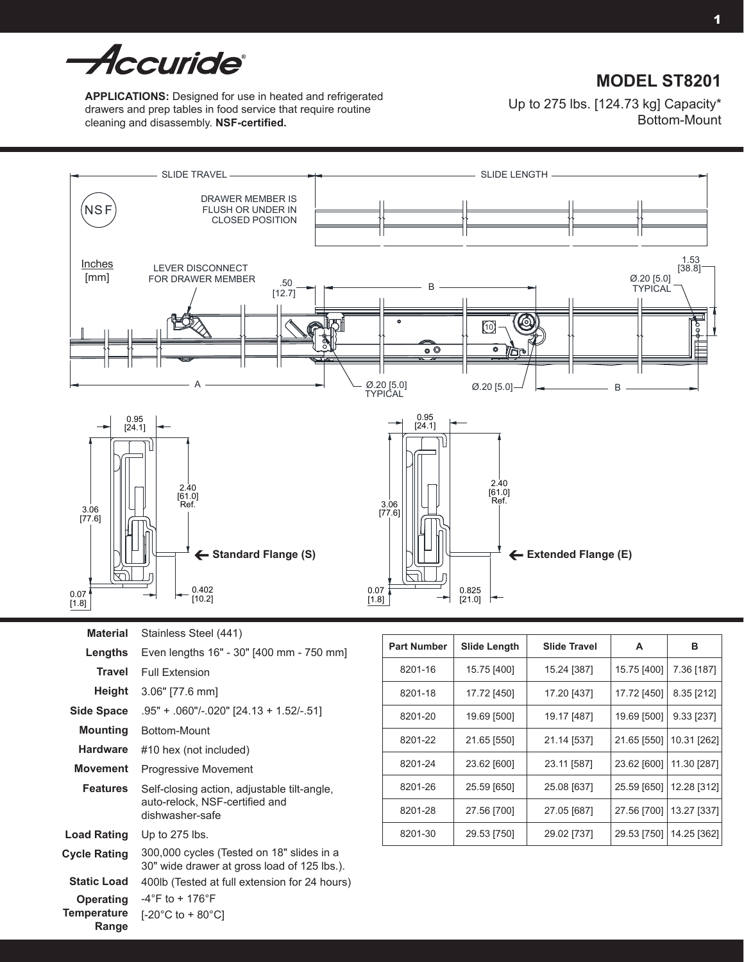

# **MODEL ST8201**

**APPLICATIONS:** Designed for use in heated and refrigerated drawers and prep tables in food service that require routine cleaning and disassembly. **NSF-certified.**

Up to 275 lbs. [124.73 kg] Capacity\* Bottom-Mount



**Material** Stainless Steel (441)

| Lengths                           | Even lengths 16" - 30" [400 mm - 750 mm]                                                         |  |  |
|-----------------------------------|--------------------------------------------------------------------------------------------------|--|--|
| Travel                            | <b>Full Extension</b>                                                                            |  |  |
| Height                            | 3.06" [77.6 mm]                                                                                  |  |  |
| Side Space                        | $.95" + .060"$ /-.020" [24.13 + 1.52/-.51]                                                       |  |  |
| Mounting                          | Bottom-Mount                                                                                     |  |  |
| <b>Hardware</b>                   | #10 hex (not included)                                                                           |  |  |
| Movement                          | <b>Progressive Movement</b>                                                                      |  |  |
| <b>Features</b>                   | Self-closing action, adjustable tilt-angle,<br>auto-relock, NSF-certified and<br>dishwasher-safe |  |  |
| <b>Load Rating</b>                | Up to $275$ lbs.                                                                                 |  |  |
| <b>Cycle Rating</b>               | 300,000 cycles (Tested on 18" slides in a<br>30" wide drawer at gross load of 125 lbs.).         |  |  |
| <b>Static Load</b>                | 400lb (Tested at full extension for 24 hours)                                                    |  |  |
| Operating<br>Temperature<br>Range | $-4^{\circ}$ F to + 176 $^{\circ}$ F<br>$[-20^{\circ}$ C to + 80 $^{\circ}$ C1                   |  |  |

| <b>Part Number</b> | <b>Slide Length</b> | <b>Slide Travel</b> | Α           | в           |
|--------------------|---------------------|---------------------|-------------|-------------|
| 8201-16            | 15.75 [400]         | 15.24 [387]         | 15.75 [400] | 7.36 [187]  |
| 8201-18            | 17.72 [450]         | 17.20 [437]         | 17.72 [450] | 8.35 [212]  |
| 8201-20            | 19.69 [500]         | 19.17 [487]         | 19.69 [500] | 9.33 [237]  |
| 8201-22            | 21.65 [550]         | 21.14 [537]         | 21.65 [550] | 10.31 [262] |
| 8201-24            | 23.62 [600]         | 23.11 [587]         | 23.62 [600] | 11.30 [287] |
| 8201-26            | 25.59 [650]         | 25.08 [637]         | 25.59 [650] | 12.28 [312] |
| 8201-28            | 27.56 [700]         | 27.05 [687]         | 27.56 [700] | 13.27 [337] |
| 8201-30            | 29.53 [750]         | 29.02 [737]         | 29.53 [750] | 14.25 [362] |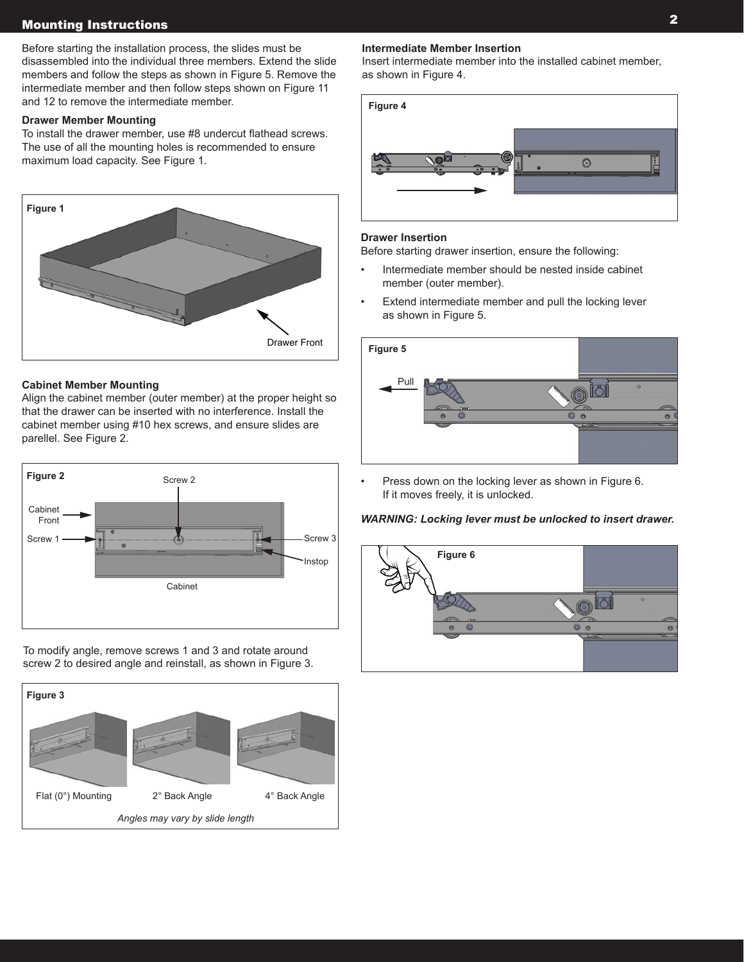# Mounting Instructions

Before starting the installation process, the slides must be disassembled into the individual three members. Extend the slide members and follow the steps as shown in Figure 5. Remove the intermediate member and then follow steps shown on Figure 11 and 12 to remove the intermediate member.

### **Drawer Member Mounting**

To install the drawer member, use #8 undercut flathead screws. The use of all the mounting holes is recommended to ensure maximum load capacity. See Figure 1.



### **Cabinet Member Mounting**

Align the cabinet member (outer member) at the proper height so that the drawer can be inserted with no interference. Install the cabinet member using #10 hex screws, and ensure slides are parellel. See Figure 2.



To modify angle, remove screws 1 and 3 and rotate around screw 2 to desired angle and reinstall, as shown in Figure 3.



### **Intermediate Member Insertion**

Insert intermediate member into the installed cabinet member, as shown in Figure 4.



### **Drawer Insertion**

Before starting drawer insertion, ensure the following:

- Intermediate member should be nested inside cabinet member (outer member).
- Extend intermediate member and pull the locking lever as shown in Figure 5.



• Press down on the locking lever as shown in Figure 6. If it moves freely, it is unlocked.

### *WARNING: Locking lever must be unlocked to insert drawer.*

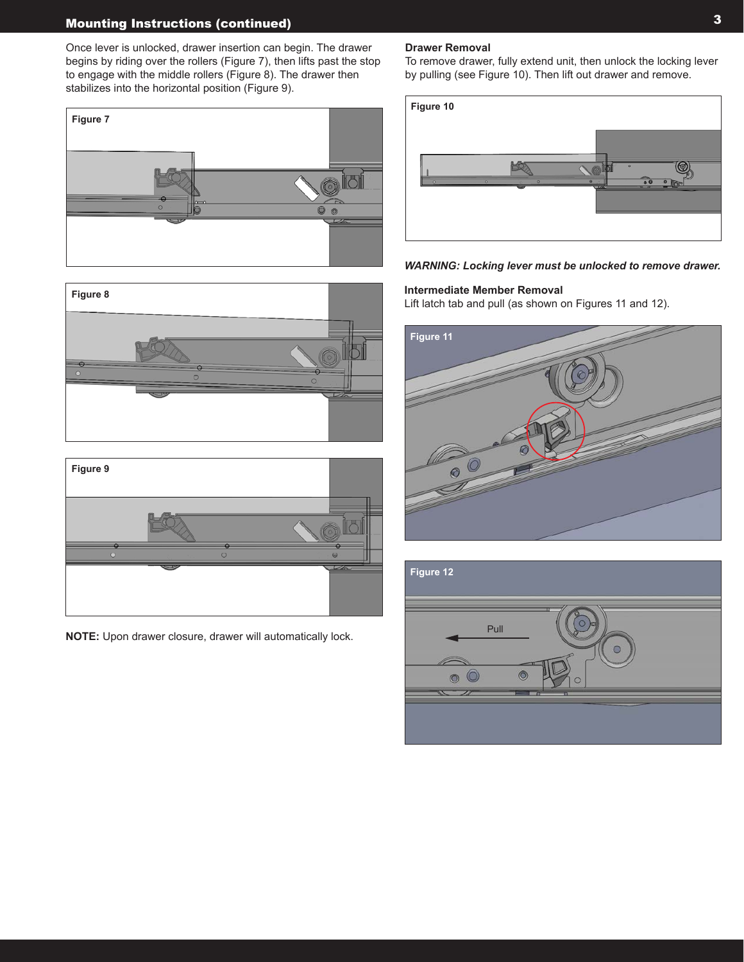## Mounting Instructions (continued)

Once lever is unlocked, drawer insertion can begin. The drawer begins by riding over the rollers (Figure 7), then lifts past the stop to engage with the middle rollers (Figure 8). The drawer then stabilizes into the horizontal position (Figure 9).







**NOTE:** Upon drawer closure, drawer will automatically lock.

#### **Drawer Removal**

To remove drawer, fully extend unit, then unlock the locking lever by pulling (see Figure 10). Then lift out drawer and remove.



*WARNING: Locking lever must be unlocked to remove drawer.*

### **Intermediate Member Removal**

Lift latch tab and pull (as shown on Figures 11 and 12).



| Figure 12       |  |
|-----------------|--|
| ≖<br>Pull       |  |
| $\sqrt{2}$<br>┱ |  |
|                 |  |